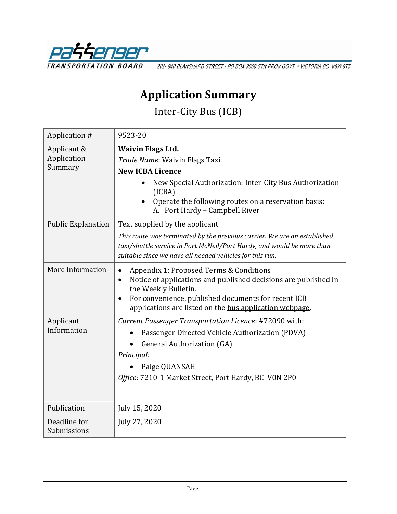

202-940 BLANSHARD STREET · PO BOX 9850 STN PROV GOVT · VICTORIA BC V8W 9T5

## **Application Summary**

Inter-City Bus (ICB)

| Application #                         | 9523-20                                                                                                                                                                                                                                                                                     |
|---------------------------------------|---------------------------------------------------------------------------------------------------------------------------------------------------------------------------------------------------------------------------------------------------------------------------------------------|
| Applicant &<br>Application<br>Summary | <b>Waivin Flags Ltd.</b><br>Trade Name: Waivin Flags Taxi<br><b>New ICBA Licence</b>                                                                                                                                                                                                        |
|                                       | New Special Authorization: Inter-City Bus Authorization<br>(ICBA)<br>Operate the following routes on a reservation basis:<br>A. Port Hardy - Campbell River                                                                                                                                 |
| <b>Public Explanation</b>             | Text supplied by the applicant<br>This route was terminated by the previous carrier. We are an established<br>taxi/shuttle service in Port McNeil/Port Hardy, and would be more than<br>suitable since we have all needed vehicles for this run.                                            |
| More Information                      | Appendix 1: Proposed Terms & Conditions<br>$\bullet$<br>Notice of applications and published decisions are published in<br>$\bullet$<br>the Weekly Bulletin.<br>For convenience, published documents for recent ICB<br>$\bullet$<br>applications are listed on the bus application webpage. |
| Applicant<br>Information              | Current Passenger Transportation Licence: #72090 with:<br>Passenger Directed Vehicle Authorization (PDVA)<br><b>General Authorization (GA)</b><br>Principal:<br>Paige QUANSAH<br>Office: 7210-1 Market Street, Port Hardy, BC VON 2P0                                                       |
| Publication                           | July 15, 2020                                                                                                                                                                                                                                                                               |
| Deadline for<br>Submissions           | July 27, 2020                                                                                                                                                                                                                                                                               |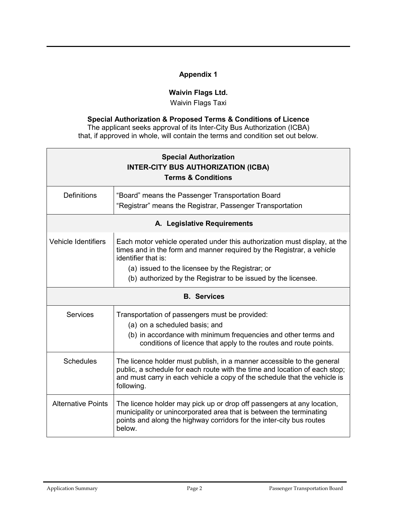## **Appendix 1**

## **Waivin Flags Ltd.**

Waivin Flags Taxi

## **Special Authorization & Proposed Terms & Conditions of Licence**

The applicant seeks approval of its Inter-City Bus Authorization (ICBA) that, if approved in whole, will contain the terms and condition set out below.

| <b>Special Authorization</b><br><b>INTER-CITY BUS AUTHORIZATION (ICBA)</b><br><b>Terms &amp; Conditions</b> |                                                                                                                                                                                                                                                 |  |
|-------------------------------------------------------------------------------------------------------------|-------------------------------------------------------------------------------------------------------------------------------------------------------------------------------------------------------------------------------------------------|--|
| <b>Definitions</b>                                                                                          | "Board" means the Passenger Transportation Board<br>"Registrar" means the Registrar, Passenger Transportation                                                                                                                                   |  |
| A. Legislative Requirements                                                                                 |                                                                                                                                                                                                                                                 |  |
| <b>Vehicle Identifiers</b>                                                                                  | Each motor vehicle operated under this authorization must display, at the<br>times and in the form and manner required by the Registrar, a vehicle<br>identifier that is:                                                                       |  |
|                                                                                                             | (a) issued to the licensee by the Registrar; or                                                                                                                                                                                                 |  |
|                                                                                                             | (b) authorized by the Registrar to be issued by the licensee.                                                                                                                                                                                   |  |
| <b>B.</b> Services                                                                                          |                                                                                                                                                                                                                                                 |  |
| <b>Services</b>                                                                                             | Transportation of passengers must be provided:                                                                                                                                                                                                  |  |
|                                                                                                             | (a) on a scheduled basis; and                                                                                                                                                                                                                   |  |
|                                                                                                             | (b) in accordance with minimum frequencies and other terms and<br>conditions of licence that apply to the routes and route points.                                                                                                              |  |
| <b>Schedules</b>                                                                                            | The licence holder must publish, in a manner accessible to the general<br>public, a schedule for each route with the time and location of each stop;<br>and must carry in each vehicle a copy of the schedule that the vehicle is<br>following. |  |
| <b>Alternative Points</b>                                                                                   | The licence holder may pick up or drop off passengers at any location,<br>municipality or unincorporated area that is between the terminating<br>points and along the highway corridors for the inter-city bus routes<br>below.                 |  |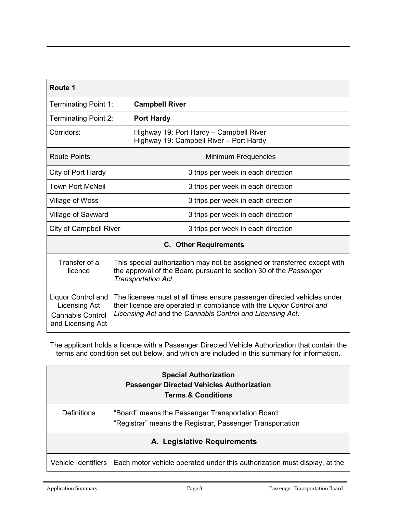| Route 1                                                                             |                                                                                                                                                                                                              |  |
|-------------------------------------------------------------------------------------|--------------------------------------------------------------------------------------------------------------------------------------------------------------------------------------------------------------|--|
| <b>Terminating Point 1:</b>                                                         | <b>Campbell River</b>                                                                                                                                                                                        |  |
| <b>Terminating Point 2:</b>                                                         | <b>Port Hardy</b>                                                                                                                                                                                            |  |
| Corridors:                                                                          | Highway 19: Port Hardy - Campbell River<br>Highway 19: Campbell River - Port Hardy                                                                                                                           |  |
| <b>Route Points</b>                                                                 | Minimum Frequencies                                                                                                                                                                                          |  |
| City of Port Hardy                                                                  | 3 trips per week in each direction                                                                                                                                                                           |  |
| <b>Town Port McNeil</b>                                                             | 3 trips per week in each direction                                                                                                                                                                           |  |
| Village of Woss                                                                     | 3 trips per week in each direction                                                                                                                                                                           |  |
| <b>Village of Sayward</b>                                                           | 3 trips per week in each direction                                                                                                                                                                           |  |
| <b>City of Campbell River</b>                                                       | 3 trips per week in each direction                                                                                                                                                                           |  |
| <b>C.</b> Other Requirements                                                        |                                                                                                                                                                                                              |  |
| Transfer of a<br>licence                                                            | This special authorization may not be assigned or transferred except with<br>the approval of the Board pursuant to section 30 of the Passenger<br><b>Transportation Act.</b>                                 |  |
| Liquor Control and<br>Licensing Act<br><b>Cannabis Control</b><br>and Licensing Act | The licensee must at all times ensure passenger directed vehicles under<br>their licence are operated in compliance with the Liquor Control and<br>Licensing Act and the Cannabis Control and Licensing Act. |  |

The applicant holds a licence with a Passenger Directed Vehicle Authorization that contain the terms and condition set out below, and which are included in this summary for information.

| <b>Special Authorization</b><br><b>Passenger Directed Vehicles Authorization</b><br><b>Terms &amp; Conditions</b> |                                                                                                               |
|-------------------------------------------------------------------------------------------------------------------|---------------------------------------------------------------------------------------------------------------|
| <b>Definitions</b>                                                                                                | "Board" means the Passenger Transportation Board<br>"Registrar" means the Registrar, Passenger Transportation |
| A. Legislative Requirements                                                                                       |                                                                                                               |
| Vehicle Identifiers                                                                                               | Each motor vehicle operated under this authorization must display, at the                                     |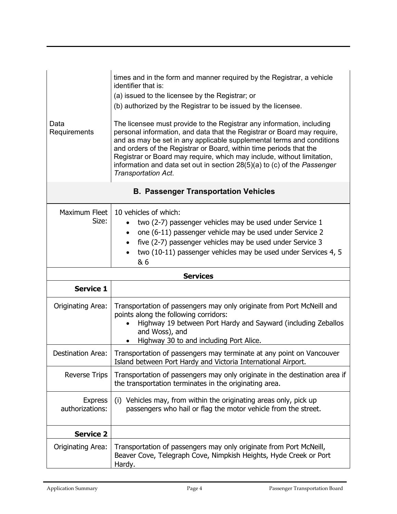| Data<br>Requirements                        | times and in the form and manner required by the Registrar, a vehicle<br>identifier that is:<br>(a) issued to the licensee by the Registrar; or<br>(b) authorized by the Registrar to be issued by the licensee.<br>The licensee must provide to the Registrar any information, including<br>personal information, and data that the Registrar or Board may require,<br>and as may be set in any applicable supplemental terms and conditions<br>and orders of the Registrar or Board, within time periods that the<br>Registrar or Board may require, which may include, without limitation,<br>information and data set out in section 28(5)(a) to (c) of the Passenger<br>Transportation Act. |
|---------------------------------------------|--------------------------------------------------------------------------------------------------------------------------------------------------------------------------------------------------------------------------------------------------------------------------------------------------------------------------------------------------------------------------------------------------------------------------------------------------------------------------------------------------------------------------------------------------------------------------------------------------------------------------------------------------------------------------------------------------|
| <b>B. Passenger Transportation Vehicles</b> |                                                                                                                                                                                                                                                                                                                                                                                                                                                                                                                                                                                                                                                                                                  |
| Maximum Fleet<br>Size:                      | 10 vehicles of which:<br>two (2-7) passenger vehicles may be used under Service 1<br>$\bullet$<br>one (6-11) passenger vehicle may be used under Service 2<br>$\bullet$<br>five (2-7) passenger vehicles may be used under Service 3<br>$\bullet$<br>two (10-11) passenger vehicles may be used under Services 4, 5<br>& 6                                                                                                                                                                                                                                                                                                                                                                       |
|                                             | <b>Services</b>                                                                                                                                                                                                                                                                                                                                                                                                                                                                                                                                                                                                                                                                                  |
| <b>Service 1</b>                            |                                                                                                                                                                                                                                                                                                                                                                                                                                                                                                                                                                                                                                                                                                  |
| Originating Area:                           | Transportation of passengers may only originate from Port McNeill and<br>points along the following corridors:<br>Highway 19 between Port Hardy and Sayward (including Zeballos<br>and Woss), and<br>Highway 30 to and including Port Alice.                                                                                                                                                                                                                                                                                                                                                                                                                                                     |
| Destination Area:                           | Transportation of passengers may terminate at any point on Vancouver<br>Island between Port Hardy and Victoria International Airport.                                                                                                                                                                                                                                                                                                                                                                                                                                                                                                                                                            |
| <b>Reverse Trips</b>                        | Transportation of passengers may only originate in the destination area if<br>the transportation terminates in the originating area.                                                                                                                                                                                                                                                                                                                                                                                                                                                                                                                                                             |
| <b>Express</b><br>authorizations:           | (i) Vehicles may, from within the originating areas only, pick up<br>passengers who hail or flag the motor vehicle from the street.                                                                                                                                                                                                                                                                                                                                                                                                                                                                                                                                                              |
| <b>Service 2</b>                            |                                                                                                                                                                                                                                                                                                                                                                                                                                                                                                                                                                                                                                                                                                  |
| Originating Area:                           | Transportation of passengers may only originate from Port McNeill,<br>Beaver Cove, Telegraph Cove, Nimpkish Heights, Hyde Creek or Port<br>Hardy.                                                                                                                                                                                                                                                                                                                                                                                                                                                                                                                                                |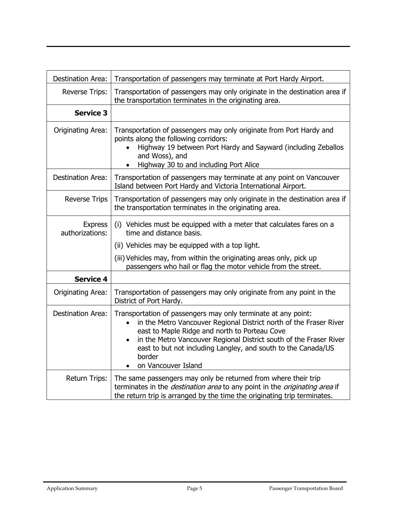| <b>Destination Area:</b>          | Transportation of passengers may terminate at Port Hardy Airport.                                                                                                                                                                                                                                                                                            |
|-----------------------------------|--------------------------------------------------------------------------------------------------------------------------------------------------------------------------------------------------------------------------------------------------------------------------------------------------------------------------------------------------------------|
| <b>Reverse Trips:</b>             | Transportation of passengers may only originate in the destination area if<br>the transportation terminates in the originating area.                                                                                                                                                                                                                         |
| <b>Service 3</b>                  |                                                                                                                                                                                                                                                                                                                                                              |
| Originating Area:                 | Transportation of passengers may only originate from Port Hardy and<br>points along the following corridors:<br>Highway 19 between Port Hardy and Sayward (including Zeballos<br>and Woss), and<br>Highway 30 to and including Port Alice<br>$\bullet$                                                                                                       |
| <b>Destination Area:</b>          | Transportation of passengers may terminate at any point on Vancouver<br>Island between Port Hardy and Victoria International Airport.                                                                                                                                                                                                                        |
| <b>Reverse Trips</b>              | Transportation of passengers may only originate in the destination area if<br>the transportation terminates in the originating area.                                                                                                                                                                                                                         |
| <b>Express</b><br>authorizations: | (i) Vehicles must be equipped with a meter that calculates fares on a<br>time and distance basis.                                                                                                                                                                                                                                                            |
|                                   | (ii) Vehicles may be equipped with a top light.                                                                                                                                                                                                                                                                                                              |
|                                   | (iii) Vehicles may, from within the originating areas only, pick up<br>passengers who hail or flag the motor vehicle from the street.                                                                                                                                                                                                                        |
| <b>Service 4</b>                  |                                                                                                                                                                                                                                                                                                                                                              |
| Originating Area:                 | Transportation of passengers may only originate from any point in the<br>District of Port Hardy.                                                                                                                                                                                                                                                             |
| <b>Destination Area:</b>          | Transportation of passengers may only terminate at any point:<br>in the Metro Vancouver Regional District north of the Fraser River<br>east to Maple Ridge and north to Porteau Cove<br>in the Metro Vancouver Regional District south of the Fraser River<br>east to but not including Langley, and south to the Canada/US<br>border<br>on Vancouver Island |
| Return Trips:                     | The same passengers may only be returned from where their trip<br>terminates in the <i>destination area</i> to any point in the <i>originating area</i> if<br>the return trip is arranged by the time the originating trip terminates.                                                                                                                       |